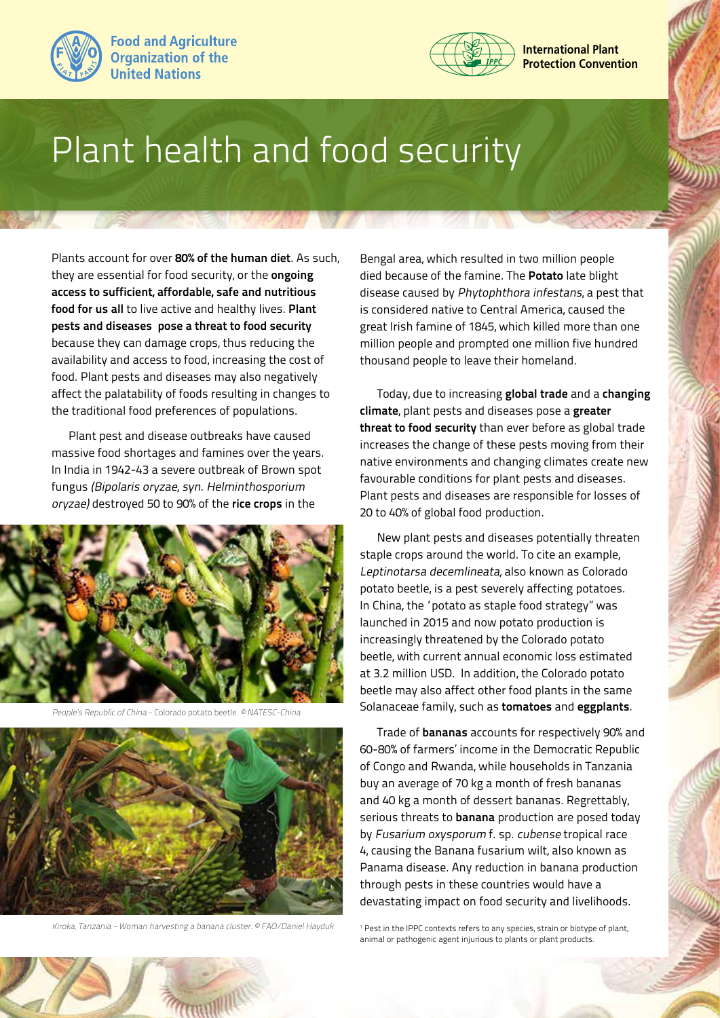



## Plant health and food security

Plants account for over **80% of the human diet**. As such, they are essential for food security, or the **ongoing access to sufficient, affordable, safe and nutritious food for us all** to live active and healthy lives. **Plant pests and diseases pose a threat to food security**  because they can damage crops, thus reducing the availability and access to food, increasing the cost of food. Plant pests and diseases may also negatively affect the palatability of foods resulting in changes to the traditional food preferences of populations.

Plant pest and disease outbreaks have caused massive food shortages and famines over the years. In India in 1942-43 a severe outbreak of Brown spot fungus (Bipolaris oryzae, syn. Helminthosporium oryzae) destroyed 50 to 90% of the **rice crops** in the



People's Republic of China - Colorado potato beetle. © NATESC-China



Kiroka, Tanzania - Woman harvesting a banana cluster. © FAO/Daniel Hayduk

**CHANNEL** 

Bengal area, which resulted in two million people died because of the famine. The **Potato** late blight disease caused by Phytophthora infestans, a pest that is considered native to Central America, caused the great Irish famine of 1845, which killed more than one million people and prompted one million five hundred thousand people to leave their homeland.

Today, due to increasing **global trade** and a **changing climate**, plant pests and diseases pose a **greater threat to food security** than ever before as global trade increases the change of these pests moving from their native environments and changing climates create new favourable conditions for plant pests and diseases. Plant pests and diseases are responsible for losses of 20 to 40% of global food production.

New plant pests and diseases potentially threaten staple crops around the world. To cite an example, Leptinotarsa decemlineata, also known as Colorado potato beetle, is a pest severely affecting potatoes. In China, the "potato as staple food strategy" was launched in 2015 and now potato production is increasingly threatened by the Colorado potato beetle, with current annual economic loss estimated at 3.2 million USD. In addition, the Colorado potato beetle may also affect other food plants in the same Solanaceae family, such as **tomatoes** and **eggplants**.

Trade of **bananas** accounts for respectively 90% and 60-80% of farmers' income in the Democratic Republic of Congo and Rwanda, while households in Tanzania buy an average of 70 kg a month of fresh bananas and 40 kg a month of dessert bananas. Regrettably, serious threats to **banana** production are posed today by Fusarium oxysporum f. sp. cubense tropical race 4, causing the Banana fusarium wilt, also known as Panama disease. Any reduction in banana production through pests in these countries would have a devastating impact on food security and livelihoods.

<sup>1</sup> Pest in the IPPC contexts refers to any species, strain or biotype of plant, animal or pathogenic agent injurious to plants or plant products.